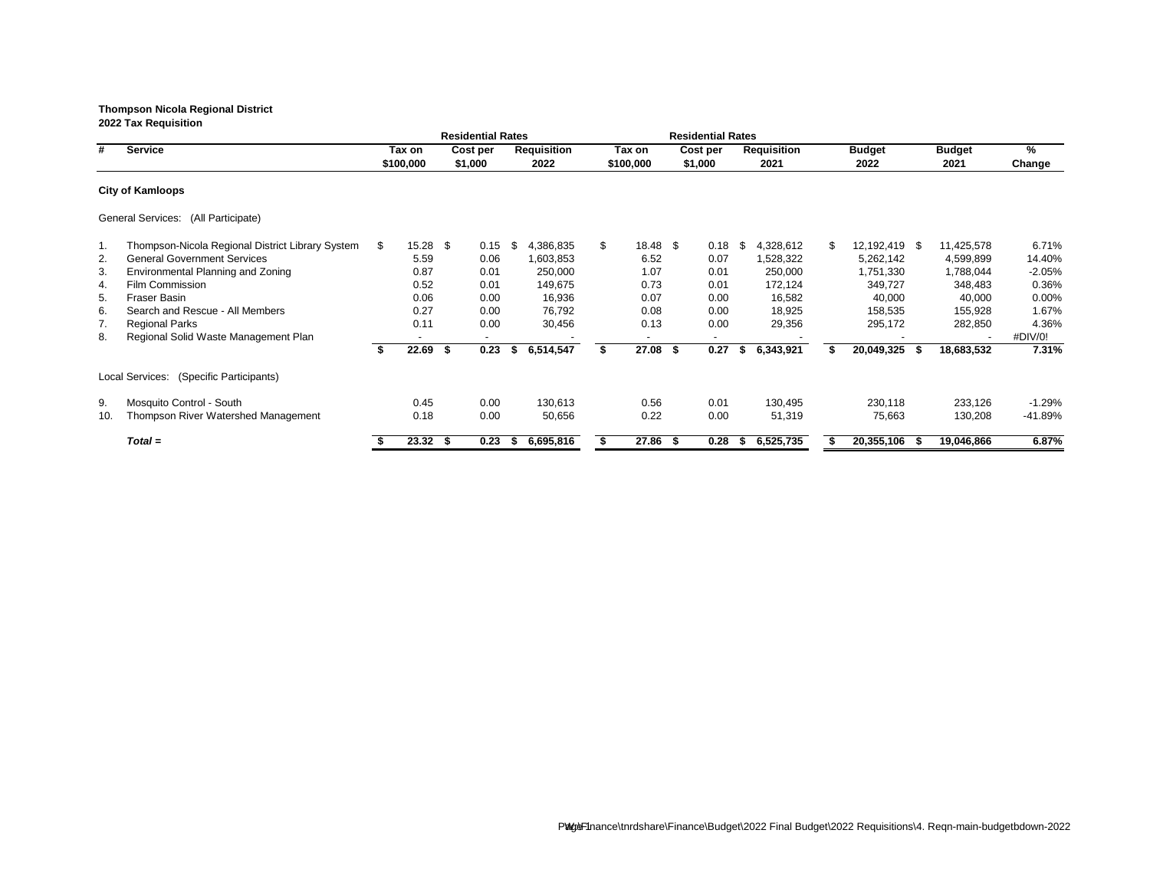|     |                                                  |    |           |      | <b>Residential Rates</b> |    |                    |                | <b>Residential Rates</b> |      |                    |                     |      |               |           |
|-----|--------------------------------------------------|----|-----------|------|--------------------------|----|--------------------|----------------|--------------------------|------|--------------------|---------------------|------|---------------|-----------|
| #   | <b>Service</b>                                   |    | Tax on    |      | Cost per                 |    | <b>Requisition</b> | Tax on         | Cost per                 |      | <b>Requisition</b> | <b>Budget</b>       |      | <b>Budget</b> | %         |
|     |                                                  |    | \$100,000 |      | \$1,000                  |    | 2022               | \$100,000      | \$1,000                  |      | 2021               | 2022                |      | 2021          | Change    |
|     | <b>City of Kamloops</b>                          |    |           |      |                          |    |                    |                |                          |      |                    |                     |      |               |           |
|     | General Services: (All Participate)              |    |           |      |                          |    |                    |                |                          |      |                    |                     |      |               |           |
| 1.  | Thompson-Nicola Regional District Library System | S. | 15.28     | - \$ | 0.15                     | \$ | 4,386,835          | \$<br>18.48 \$ | 0.18                     | - \$ | 4,328,612          | \$<br>12,192,419 \$ |      | 11,425,578    | 6.71%     |
| 2.  | <b>General Government Services</b>               |    | 5.59      |      | 0.06                     |    | 1,603,853          | 6.52           | 0.07                     |      | 1,528,322          | 5,262,142           |      | 4,599,899     | 14.40%    |
| 3.  | Environmental Planning and Zoning                |    | 0.87      |      | 0.01                     |    | 250,000            | 1.07           | 0.01                     |      | 250,000            | 1,751,330           |      | 1,788,044     | $-2.05%$  |
| 4.  | <b>Film Commission</b>                           |    | 0.52      |      | 0.01                     |    | 149,675            | 0.73           | 0.01                     |      | 172,124            | 349,727             |      | 348,483       | 0.36%     |
| 5.  | Fraser Basin                                     |    | 0.06      |      | 0.00                     |    | 16,936             | 0.07           | 0.00                     |      | 16,582             | 40,000              |      | 40,000        | $0.00\%$  |
| 6.  | Search and Rescue - All Members                  |    | 0.27      |      | 0.00                     |    | 76,792             | 0.08           | 0.00                     |      | 18,925             | 158,535             |      | 155,928       | 1.67%     |
| 7.  | <b>Regional Parks</b>                            |    | 0.11      |      | 0.00                     |    | 30,456             | 0.13           | 0.00                     |      | 29,356             | 295,172             |      | 282,850       | 4.36%     |
| 8.  | Regional Solid Waste Management Plan             |    | ٠         |      |                          |    |                    |                |                          |      |                    |                     |      |               | #DIV/0!   |
|     |                                                  |    | 22.69     | Ŝ.   | 0.23                     | S. | 6,514,547          | $27.08$ \$     | 0.27                     | S.   | 6,343,921          | 20,049,325          | - 55 | 18,683,532    | 7.31%     |
|     | Local Services: (Specific Participants)          |    |           |      |                          |    |                    |                |                          |      |                    |                     |      |               |           |
| 9.  | Mosquito Control - South                         |    | 0.45      |      | 0.00                     |    | 130,613            | 0.56           | 0.01                     |      | 130,495            | 230,118             |      | 233,126       | $-1.29%$  |
| 10. | Thompson River Watershed Management              |    | 0.18      |      | 0.00                     |    | 50,656             | 0.22           | 0.00                     |      | 51,319             | 75,663              |      | 130,208       | $-41.89%$ |
|     | $Total =$                                        |    | 23.32     | - S  | 0.23                     | æ. | 6,695,816          | $27.86$ \$     | 0.28                     |      | 6,525,735          | 20,355,106          | - 55 | 19,046,866    | 6.87%     |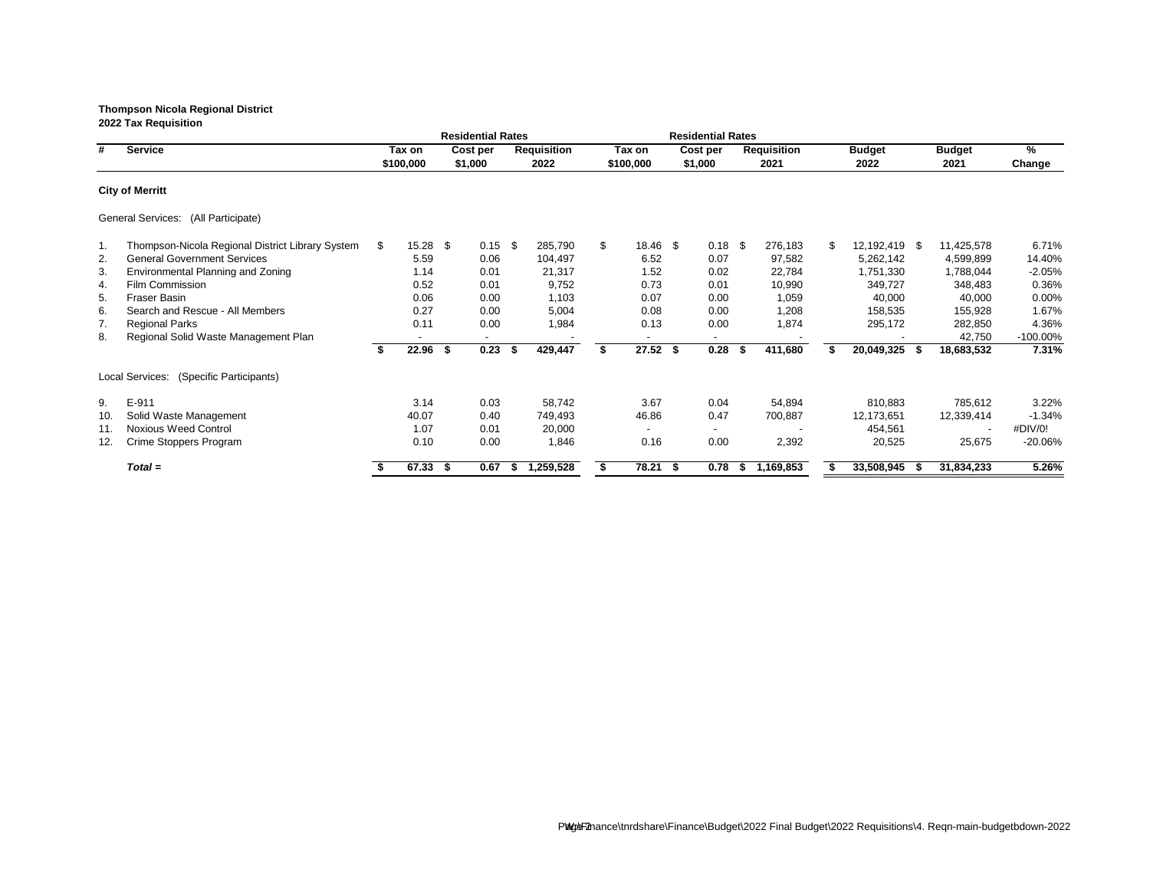|     |                                                  |    |           |      | <b>Residential Rates</b> |    |                    |                |     | <b>Residential Rates</b> |      |                    |                  |      |               |             |
|-----|--------------------------------------------------|----|-----------|------|--------------------------|----|--------------------|----------------|-----|--------------------------|------|--------------------|------------------|------|---------------|-------------|
| #   | <b>Service</b>                                   |    | Tax on    |      | Cost per                 |    | <b>Requisition</b> | Tax on         |     | Cost per                 |      | <b>Requisition</b> | <b>Budget</b>    |      | <b>Budget</b> | $\%$        |
|     |                                                  |    | \$100,000 |      | \$1,000                  |    | 2022               | \$100,000      |     | \$1,000                  |      | 2021               | 2022             |      | 2021          | Change      |
|     | <b>City of Merritt</b>                           |    |           |      |                          |    |                    |                |     |                          |      |                    |                  |      |               |             |
|     | General Services: (All Participate)              |    |           |      |                          |    |                    |                |     |                          |      |                    |                  |      |               |             |
| .1  | Thompson-Nicola Regional District Library System | S. | 15.28     | - \$ | 0.15                     | \$ | 285,790            | \$<br>18.46 \$ |     | $0.18$ \$                |      | 276,183            | \$<br>12,192,419 | - \$ | 11,425,578    | 6.71%       |
| 2.  | <b>General Government Services</b>               |    | 5.59      |      | 0.06                     |    | 104,497            | 6.52           |     | 0.07                     |      | 97,582             | 5,262,142        |      | 4,599,899     | 14.40%      |
| 3.  | Environmental Planning and Zoning                |    | 1.14      |      | 0.01                     |    | 21,317             | 1.52           |     | 0.02                     |      | 22,784             | 1,751,330        |      | 1,788,044     | $-2.05%$    |
| 4.  | <b>Film Commission</b>                           |    | 0.52      |      | 0.01                     |    | 9,752              | 0.73           |     | 0.01                     |      | 10,990             | 349,727          |      | 348,483       | 0.36%       |
| 5.  | <b>Fraser Basin</b>                              |    | 0.06      |      | 0.00                     |    | 1,103              | 0.07           |     | 0.00                     |      | 1,059              | 40,000           |      | 40,000        | 0.00%       |
| 6.  | Search and Rescue - All Members                  |    | 0.27      |      | 0.00                     |    | 5,004              | 0.08           |     | 0.00                     |      | 1,208              | 158,535          |      | 155,928       | 1.67%       |
| 7.  | <b>Regional Parks</b>                            |    | 0.11      |      | 0.00                     |    | 1,984              | 0.13           |     | 0.00                     |      | 1,874              | 295,172          |      | 282,850       | 4.36%       |
| 8.  | Regional Solid Waste Management Plan             |    |           |      |                          |    |                    |                |     |                          |      |                    |                  |      | 42,750        | $-100.00\%$ |
|     |                                                  |    | 22.96     | - \$ | 0.23                     | S  | 429,447            | $27.52$ \$     |     | 0.28                     | - 55 | 411,680            | 20,049,325       | - 56 | 18,683,532    | 7.31%       |
|     | Local Services: (Specific Participants)          |    |           |      |                          |    |                    |                |     |                          |      |                    |                  |      |               |             |
| 9.  | E-911                                            |    | 3.14      |      | 0.03                     |    | 58,742             | 3.67           |     | 0.04                     |      | 54,894             | 810,883          |      | 785,612       | 3.22%       |
| 10. | Solid Waste Management                           |    | 40.07     |      | 0.40                     |    | 749,493            | 46.86          |     | 0.47                     |      | 700,887            | 12,173,651       |      | 12,339,414    | $-1.34%$    |
| 11. | <b>Noxious Weed Control</b>                      |    | 1.07      |      | 0.01                     |    | 20,000             |                |     |                          |      |                    | 454,561          |      |               | #DIV/0!     |
| 12. | Crime Stoppers Program                           |    | 0.10      |      | 0.00                     |    | 1,846              | 0.16           |     | 0.00                     |      | 2,392              | 20,525           |      | 25,675        | $-20.06%$   |
|     | $Total =$                                        |    | 67.33     | - \$ | 0.67                     | ъ  | 1,259,528          | 78.21          | - 5 | 0.78                     | P.   | 1,169,853          | 33,508,945       | - 56 | 31,834,233    | 5.26%       |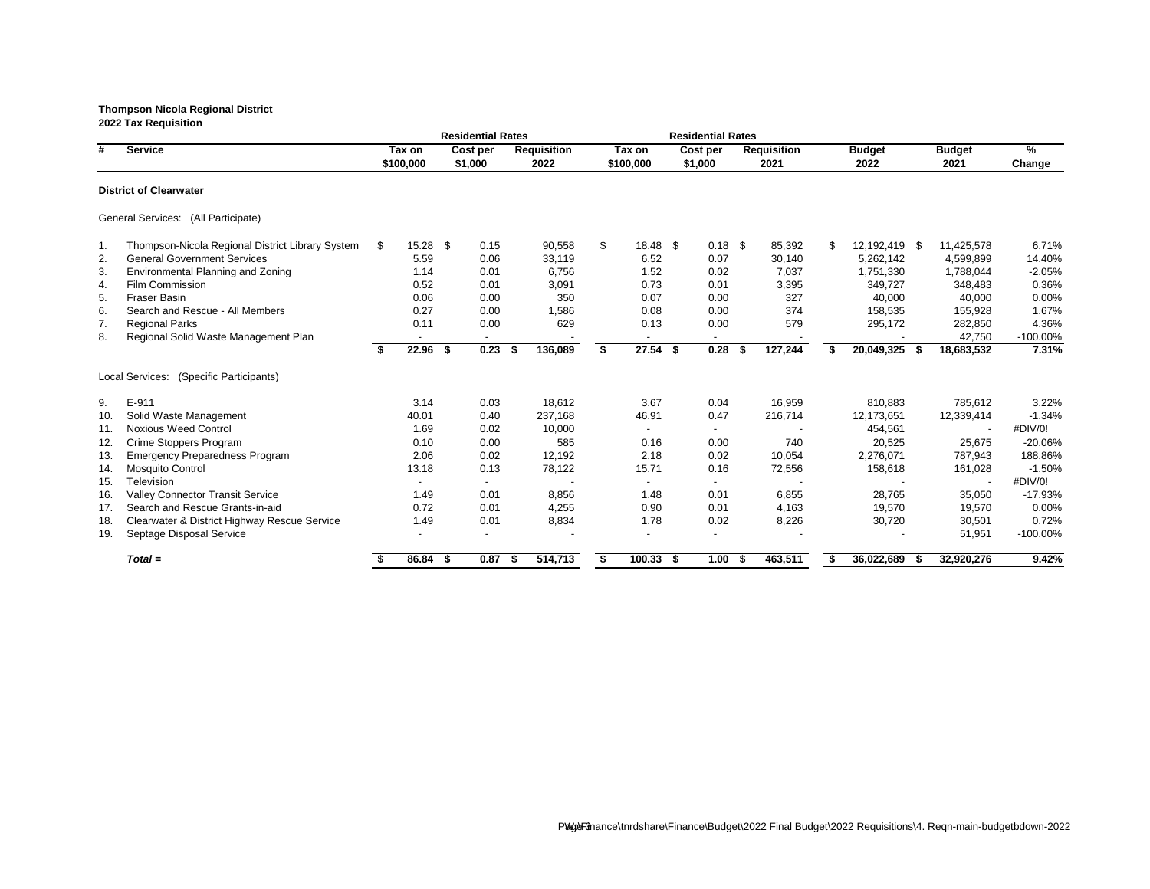|     |                                                  |    |                     | <b>Residential Rates</b> |                            |    |                     | <b>Residential Rates</b> |     |                            |                       |     |                       |                         |
|-----|--------------------------------------------------|----|---------------------|--------------------------|----------------------------|----|---------------------|--------------------------|-----|----------------------------|-----------------------|-----|-----------------------|-------------------------|
| #   | <b>Service</b>                                   |    | Tax on<br>\$100,000 | Cost per<br>\$1,000      | <b>Requisition</b><br>2022 |    | Tax on<br>\$100,000 | Cost per<br>\$1,000      |     | <b>Requisition</b><br>2021 | <b>Budget</b><br>2022 |     | <b>Budget</b><br>2021 | $\frac{9}{6}$<br>Change |
|     | <b>District of Clearwater</b>                    |    |                     |                          |                            |    |                     |                          |     |                            |                       |     |                       |                         |
|     | General Services: (All Participate)              |    |                     |                          |                            |    |                     |                          |     |                            |                       |     |                       |                         |
| 1.  | Thompson-Nicola Regional District Library System | \$ | $15.28$ \$          | 0.15                     | 90,558                     | \$ | 18.48 \$            | $0.18$ \$                |     | 85,392                     | \$<br>12,192,419 \$   |     | 11,425,578            | 6.71%                   |
| 2.  | <b>General Government Services</b>               |    | 5.59                | 0.06                     | 33,119                     |    | 6.52                | 0.07                     |     | 30,140                     | 5,262,142             |     | 4,599,899             | 14.40%                  |
| 3.  | Environmental Planning and Zoning                |    | 1.14                | 0.01                     | 6,756                      |    | 1.52                | 0.02                     |     | 7,037                      | 1,751,330             |     | 1,788,044             | $-2.05%$                |
| 4.  | <b>Film Commission</b>                           |    | 0.52                | 0.01                     | 3,091                      |    | 0.73                | 0.01                     |     | 3,395                      | 349,727               |     | 348,483               | 0.36%                   |
| 5.  | <b>Fraser Basin</b>                              |    | 0.06                | 0.00                     | 350                        |    | 0.07                | 0.00                     |     | 327                        | 40,000                |     | 40,000                | 0.00%                   |
| 6.  | Search and Rescue - All Members                  |    | 0.27                | 0.00                     | 1,586                      |    | 0.08                | 0.00                     |     | 374                        | 158,535               |     | 155,928               | 1.67%                   |
| 7.  | <b>Regional Parks</b>                            |    | 0.11                | 0.00                     | 629                        |    | 0.13                | 0.00                     |     | 579                        | 295,172               |     | 282,850               | 4.36%                   |
| 8.  | Regional Solid Waste Management Plan             |    |                     |                          |                            |    |                     |                          |     |                            |                       |     | 42,750                | -100.00%                |
|     |                                                  | S. | $22.96$ \$          | 0.23                     | 136,089<br>-S              | Ŝ. | $27.54$ \$          | 0.28                     | -\$ | 127,244                    | 20,049,325 \$         |     | 18,683,532            | 7.31%                   |
|     | Local Services: (Specific Participants)          |    |                     |                          |                            |    |                     |                          |     |                            |                       |     |                       |                         |
| 9.  | E-911                                            |    | 3.14                | 0.03                     | 18,612                     |    | 3.67                | 0.04                     |     | 16,959                     | 810,883               |     | 785,612               | 3.22%                   |
| 10. | Solid Waste Management                           |    | 40.01               | 0.40                     | 237,168                    |    | 46.91               | 0.47                     |     | 216,714                    | 12,173,651            |     | 12,339,414            | $-1.34%$                |
| 11. | <b>Noxious Weed Control</b>                      |    | 1.69                | 0.02                     | 10,000                     |    |                     |                          |     |                            | 454,561               |     |                       | #DIV/0!                 |
| 12. | Crime Stoppers Program                           |    | 0.10                | 0.00                     | 585                        |    | 0.16                | 0.00                     |     | 740                        | 20,525                |     | 25,675                | -20.06%                 |
| 13. | <b>Emergency Preparedness Program</b>            |    | 2.06                | 0.02                     | 12,192                     |    | 2.18                | 0.02                     |     | 10,054                     | 2,276,071             |     | 787,943               | 188.86%                 |
| 14. | Mosquito Control                                 |    | 13.18               | 0.13                     | 78,122                     |    | 15.71               | 0.16                     |     | 72,556                     | 158,618               |     | 161,028               | $-1.50%$                |
| 15. | Television                                       |    | $\sim$              | $\overline{\phantom{a}}$ |                            |    | $\sim$              |                          |     |                            |                       |     |                       | #DIV/0!                 |
| 16. | <b>Valley Connector Transit Service</b>          |    | 1.49                | 0.01                     | 8,856                      |    | 1.48                | 0.01                     |     | 6,855                      | 28,765                |     | 35,050                | $-17.93%$               |
| 17. | Search and Rescue Grants-in-aid                  |    | 0.72                | 0.01                     | 4,255                      |    | 0.90                | 0.01                     |     | 4,163                      | 19,570                |     | 19,570                | 0.00%                   |
| 18. | Clearwater & District Highway Rescue Service     |    | 1.49                | 0.01                     | 8,834                      |    | 1.78                | 0.02                     |     | 8,226                      | 30,720                |     | 30,501                | 0.72%                   |
| 19. | Septage Disposal Service                         |    |                     | $\blacksquare$           |                            |    |                     |                          |     |                            |                       |     | 51,951                | $-100.00\%$             |
|     | $Total =$                                        |    | $86.84$ \$          | 0.87                     | 514,713<br>- 5             | \$ | $100.33$ \$         | 1.00                     | - 5 | 463,511                    | 36,022,689            | - 5 | 32,920,276            | 9.42%                   |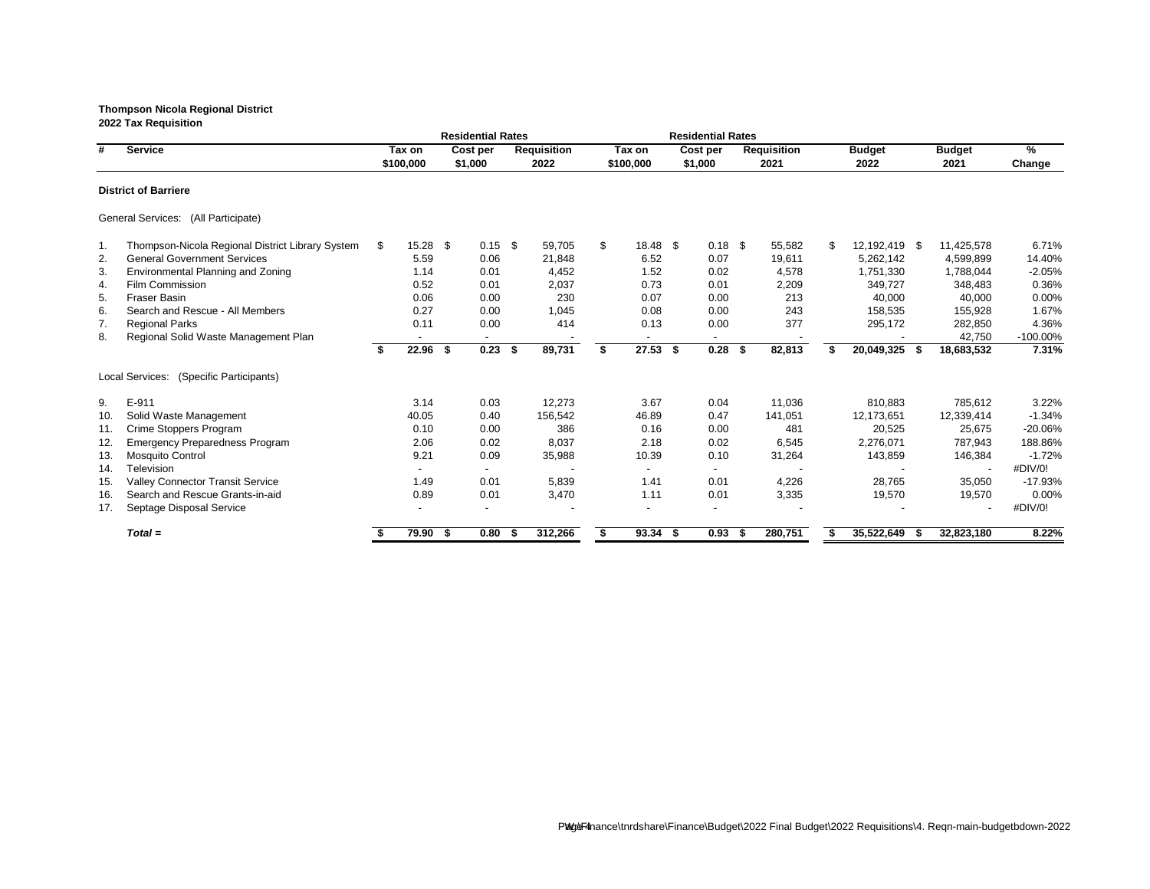|     |                                                   |      |                     |      | <b>Residential Rates</b> |      |                            |    |                     |      | <b>Residential Rates</b> |      |                            |                |                       |     |                          |                |
|-----|---------------------------------------------------|------|---------------------|------|--------------------------|------|----------------------------|----|---------------------|------|--------------------------|------|----------------------------|----------------|-----------------------|-----|--------------------------|----------------|
| #   | <b>Service</b>                                    |      | Tax on<br>\$100,000 |      | Cost per<br>\$1,000      |      | <b>Requisition</b><br>2022 |    | Tax on<br>\$100,000 |      | Cost per<br>\$1,000      |      | <b>Requisition</b><br>2021 |                | <b>Budget</b><br>2022 |     | <b>Budget</b><br>2021    | $\%$<br>Change |
|     | <b>District of Barriere</b>                       |      |                     |      |                          |      |                            |    |                     |      |                          |      |                            |                |                       |     |                          |                |
|     | General Services: (All Participate)               |      |                     |      |                          |      |                            |    |                     |      |                          |      |                            |                |                       |     |                          |                |
| 1.  | Thompson-Nicola Regional District Library System  | \$   | 15.28               | \$   | 0.15                     | \$   | 59,705                     | \$ | 18.48               | \$   | $0.18$ \$                |      | 55,582                     | $\mathfrak{S}$ | 12,192,419 \$         |     | 11,425,578               | 6.71%          |
| 2.  | <b>General Government Services</b>                |      | 5.59                |      | 0.06                     |      | 21,848                     |    | 6.52                |      | 0.07                     |      | 19,611                     |                | 5,262,142             |     | 4,599,899                | 14.40%         |
| 3.  | <b>Environmental Planning and Zoning</b>          |      | 1.14                |      | 0.01                     |      | 4,452                      |    | 1.52                |      | 0.02                     |      | 4,578                      |                | 1,751,330             |     | 1,788,044                | $-2.05%$       |
| 4.  | Film Commission                                   |      | 0.52                |      | 0.01                     |      | 2,037                      |    | 0.73                |      | 0.01                     |      | 2,209                      |                | 349,727               |     | 348,483                  | 0.36%          |
| 5.  | <b>Fraser Basin</b>                               |      | 0.06                |      | 0.00                     |      | 230                        |    | 0.07                |      | 0.00                     |      | 213                        |                | 40,000                |     | 40,000                   | 0.00%          |
| 6.  | Search and Rescue - All Members                   |      | 0.27                |      | 0.00                     |      | 1,045                      |    | 0.08                |      | 0.00                     |      | 243                        |                | 158,535               |     | 155,928                  | 1.67%          |
| 7.  | <b>Regional Parks</b>                             |      | 0.11                |      | 0.00                     |      | 414                        |    | 0.13                |      | 0.00                     |      | 377                        |                | 295,172               |     | 282,850                  | 4.36%          |
| 8.  | Regional Solid Waste Management Plan              |      |                     |      |                          |      |                            |    |                     |      |                          |      |                            |                |                       |     | 42,750                   | $-100.00\%$    |
|     |                                                   | - \$ | 22.96               | - \$ | 0.23                     | Ŝ.   | 89,731                     | S. | 27.53               | -\$  | 0.28                     | - \$ | 82,813                     | \$             | 20,049,325            | - S | 18,683,532               | 7.31%          |
|     | (Specific Participants)<br><b>Local Services:</b> |      |                     |      |                          |      |                            |    |                     |      |                          |      |                            |                |                       |     |                          |                |
| 9.  | E-911                                             |      | 3.14                |      | 0.03                     |      | 12,273                     |    | 3.67                |      | 0.04                     |      | 11,036                     |                | 810,883               |     | 785,612                  | 3.22%          |
| 10. | Solid Waste Management                            |      | 40.05               |      | 0.40                     |      | 156,542                    |    | 46.89               |      | 0.47                     |      | 141,051                    |                | 12,173,651            |     | 12,339,414               | $-1.34%$       |
| 11. | Crime Stoppers Program                            |      | 0.10                |      | 0.00                     |      | 386                        |    | 0.16                |      | 0.00                     |      | 481                        |                | 20,525                |     | 25,675                   | $-20.06%$      |
| 12. | <b>Emergency Preparedness Program</b>             |      | 2.06                |      | 0.02                     |      | 8,037                      |    | 2.18                |      | 0.02                     |      | 6,545                      |                | 2,276,071             |     | 787,943                  | 188.86%        |
| 13. | <b>Mosquito Control</b>                           |      | 9.21                |      | 0.09                     |      | 35,988                     |    | 10.39               |      | 0.10                     |      | 31,264                     |                | 143,859               |     | 146,384                  | $-1.72%$       |
| 14. | Television                                        |      |                     |      |                          |      |                            |    |                     |      |                          |      |                            |                |                       |     |                          | #DIV/0!        |
| 15. | <b>Valley Connector Transit Service</b>           |      | 1.49                |      | 0.01                     |      | 5,839                      |    | 1.41                |      | 0.01                     |      | 4,226                      |                | 28,765                |     | 35,050                   | $-17.93%$      |
| 16. | Search and Rescue Grants-in-aid                   |      | 0.89                |      | 0.01                     |      | 3,470                      |    | 1.11                |      | 0.01                     |      | 3,335                      |                | 19,570                |     | 19,570                   | 0.00%          |
| 17. | Septage Disposal Service                          |      |                     |      |                          |      |                            |    |                     |      |                          |      |                            |                |                       |     | $\overline{\phantom{a}}$ | #DIV/0!        |
|     | $Total =$                                         |      | 79.90               | - \$ | 0.80                     | - 56 | 312,266                    |    | 93.34               | - \$ | 0.93                     | - S  | 280,751                    |                | 35,522,649            |     | 32,823,180               | 8.22%          |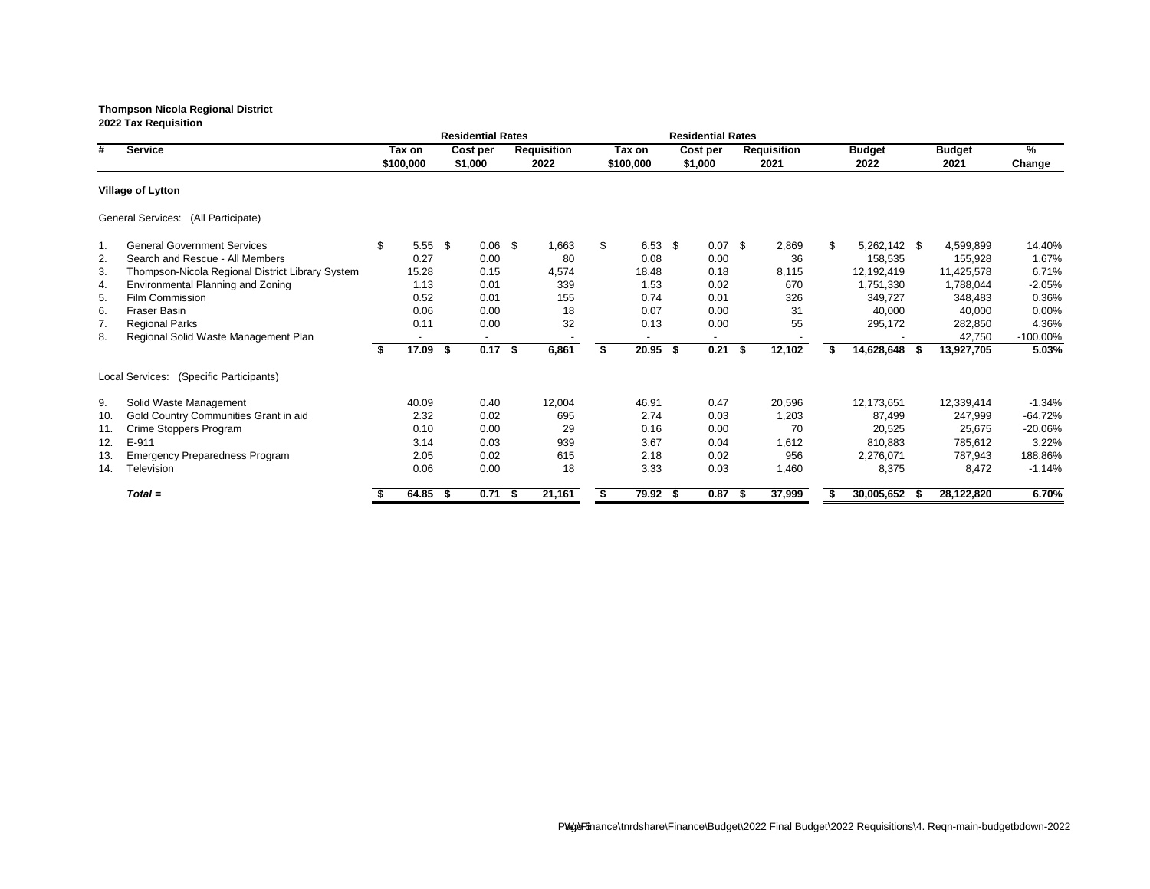**2022 Tax Requisition Residential Rates Residential Rates # Service Tax on Cost per Requisition Tax on Cost per Requisition Budget Budget % \$100,000 \$1,000 2022 \$100,000 \$1,000 2021 2022 2021 Change Village of Lytton** General Services: (All Participate) 1. General Government Services \$ 5.55 \$ 0.06 \$ 1,663 \$ 6.53 \$ 0.07 \$ 2,869 \$ 5,262,142 \$ 4,599,899 14.40% 2. Search and Rescue - All Members **0.27** 0.00 80 0.08 0.08 0.00 36 158,535 155,928 1.67% 3. Thompson-Nicola Regional District Library System 15.28 0.15 4,574 18.48 0.18 8,115 12,192,419 11,425,578 6.71% 4. Environmental Planning and Zoning 2005 2005 1.13 0.01 339 1.53 0.02 670 1,751,330 1,788,044 -2.05% 5. Film Commission 0.52 0.01 155 0.74 0.01 326 349,727 348,483 0.36% 6. Fraser Basin 0.06 0.00 18 0.07 0.00 31 40,000 40,000 0.00% 7. Regional Parks 0.01 32 0.13 0.00 55 295,172 282,850 4.36% 8. Regional Solid Waste Management Plan - - - - - - - 42,750 -100.00% **\$ 17.09 \$ 0.17 \$ 6,861 \$ 20.95 \$ 0.21 \$ 12,102 \$ 14,628,648 \$ 13,927,705 5.03%** Local Services: (Specific Participants) 9. Solid Waste Management 40.09 0.40 12,004 46.91 0.47 20,596 12,173,651 12,339,414 -1.34% 10. Gold Country Communities Grant in aid 2.32 0.02 695 2.74 0.03 1,203 87,499 247,999 -64.72% 11. Crime Stoppers Program 0.10 0.00 29 0.16 0.00 70 20,525 25,675 -20.06% 12. E-911 3.14 0.03 939 3.67 0.04 1,612 810,883 785,612 3.22% 13. Emergency Preparedness Program 2.05 0.02 615 2.18 0.02 956 2,276,071 787,943 188.86% 14. Television 0.06 0.00 18 3.33 0.03 1,460 8,375 8,472 -1.14% *Total =* **\$ 64.85 \$ 0.71 \$ 21,161 \$ 79.92 \$ 0.87 \$ 37,999 \$ 30,005,652 \$ 28,122,820 6.70%**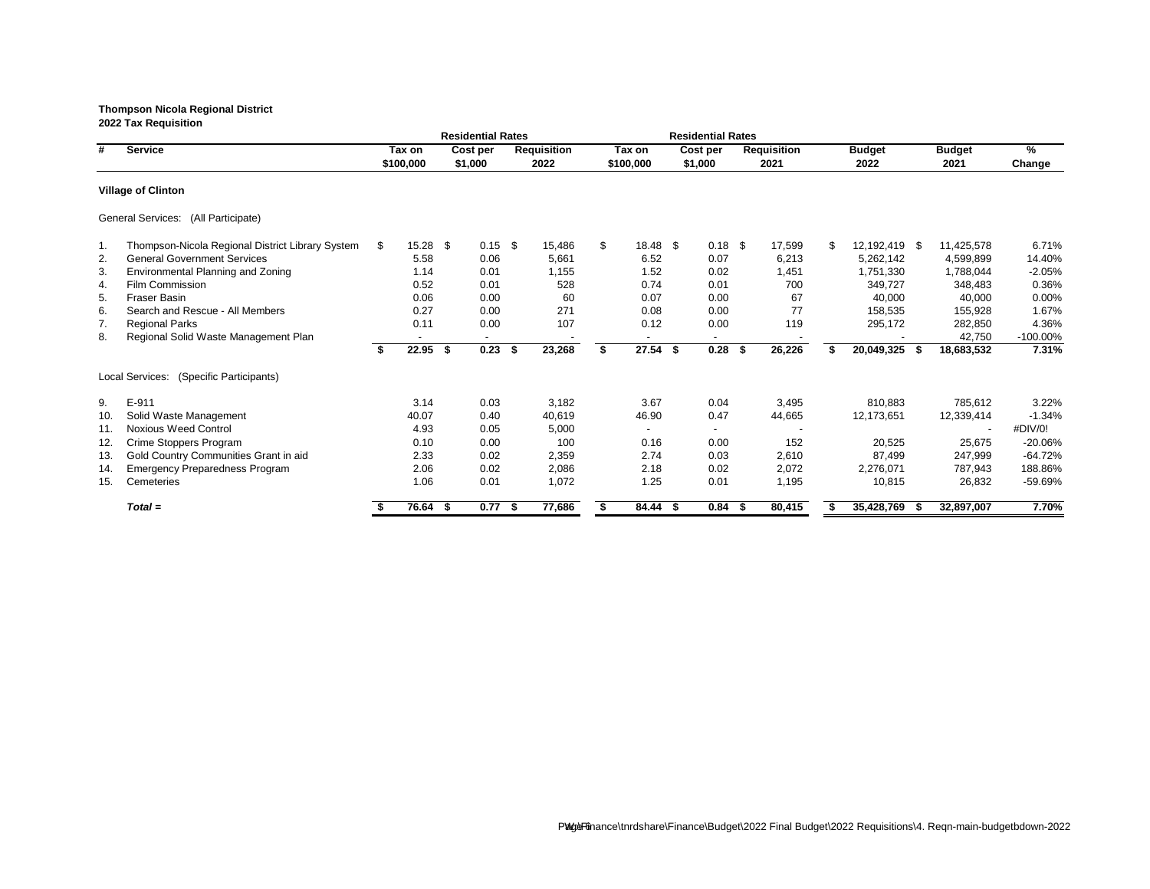|     |                                                  |    |            |      | <b>Residential Rates</b> |    |                    |                | <b>Residential Rates</b> |                    |                  |      |               |             |
|-----|--------------------------------------------------|----|------------|------|--------------------------|----|--------------------|----------------|--------------------------|--------------------|------------------|------|---------------|-------------|
| #   | <b>Service</b>                                   |    | Tax on     |      | Cost per                 |    | <b>Requisition</b> | Tax on         | Cost per                 | <b>Requisition</b> | <b>Budget</b>    |      | <b>Budget</b> | %           |
|     |                                                  |    | \$100,000  |      | \$1,000                  |    | 2022               | \$100,000      | \$1,000                  | 2021               | 2022             |      | 2021          | Change      |
|     | <b>Village of Clinton</b>                        |    |            |      |                          |    |                    |                |                          |                    |                  |      |               |             |
|     | General Services: (All Participate)              |    |            |      |                          |    |                    |                |                          |                    |                  |      |               |             |
| 1.  | Thompson-Nicola Regional District Library System | -S | $15.28$ \$ |      | $0.15$ \$                |    | 15,486             | \$<br>18.48 \$ | $0.18$ \$                | 17,599             | \$<br>12,192,419 | - \$ | 11,425,578    | 6.71%       |
| 2.  | <b>General Government Services</b>               |    | 5.58       |      | 0.06                     |    | 5,661              | 6.52           | 0.07                     | 6,213              | 5,262,142        |      | 4,599,899     | 14.40%      |
| 3.  | Environmental Planning and Zoning                |    | 1.14       |      | 0.01                     |    | 1,155              | 1.52           | 0.02                     | 1,451              | 1,751,330        |      | 1,788,044     | $-2.05%$    |
| 4.  | Film Commission                                  |    | 0.52       |      | 0.01                     |    | 528                | 0.74           | 0.01                     | 700                | 349,727          |      | 348,483       | 0.36%       |
| 5.  | <b>Fraser Basin</b>                              |    | 0.06       |      | 0.00                     |    | 60                 | 0.07           | 0.00                     | 67                 | 40,000           |      | 40,000        | 0.00%       |
| 6.  | Search and Rescue - All Members                  |    | 0.27       |      | 0.00                     |    | 271                | 0.08           | 0.00                     | 77                 | 158,535          |      | 155,928       | 1.67%       |
| 7.  | <b>Regional Parks</b>                            |    | 0.11       |      | 0.00                     |    | 107                | 0.12           | 0.00                     | 119                | 295,172          |      | 282,850       | 4.36%       |
| 8.  | Regional Solid Waste Management Plan             |    | ٠          |      | $\blacksquare$           |    |                    | ٠              |                          |                    |                  |      | 42,750        | $-100.00\%$ |
|     |                                                  |    | 22.95      | - \$ | 0.23                     | \$ | 23,268             | $27.54$ \$     | 0.28 <sup>5</sup>        | 26,226             | 20,049,325       | - \$ | 18,683,532    | 7.31%       |
|     | Local Services:<br>(Specific Participants)       |    |            |      |                          |    |                    |                |                          |                    |                  |      |               |             |
| 9.  | E-911                                            |    | 3.14       |      | 0.03                     |    | 3,182              | 3.67           | 0.04                     | 3,495              | 810,883          |      | 785,612       | 3.22%       |
| 10. | Solid Waste Management                           |    | 40.07      |      | 0.40                     |    | 40,619             | 46.90          | 0.47                     | 44,665             | 12,173,651       |      | 12,339,414    | $-1.34%$    |
| 11. | <b>Noxious Weed Control</b>                      |    | 4.93       |      | 0.05                     |    | 5,000              |                |                          |                    |                  |      |               | #DIV/0!     |
| 12. | Crime Stoppers Program                           |    | 0.10       |      | 0.00                     |    | 100                | 0.16           | 0.00                     | 152                | 20,525           |      | 25,675        | $-20.06%$   |
| 13. | Gold Country Communities Grant in aid            |    | 2.33       |      | 0.02                     |    | 2,359              | 2.74           | 0.03                     | 2,610              | 87,499           |      | 247,999       | $-64.72%$   |
| 14. | <b>Emergency Preparedness Program</b>            |    | 2.06       |      | 0.02                     |    | 2,086              | 2.18           | 0.02                     | 2,072              | 2,276,071        |      | 787,943       | 188.86%     |
| 15. | Cemeteries                                       |    | 1.06       |      | 0.01                     |    | 1,072              | 1.25           | 0.01                     | 1,195              | 10,815           |      | 26,832        | -59.69%     |
|     | $Total =$                                        |    | 76.64      | - \$ | 0.77                     | -5 | 77,686             | $84.44$ \$     | $0.84$ \$                | 80,415             | 35,428,769       | - 56 | 32,897,007    | 7.70%       |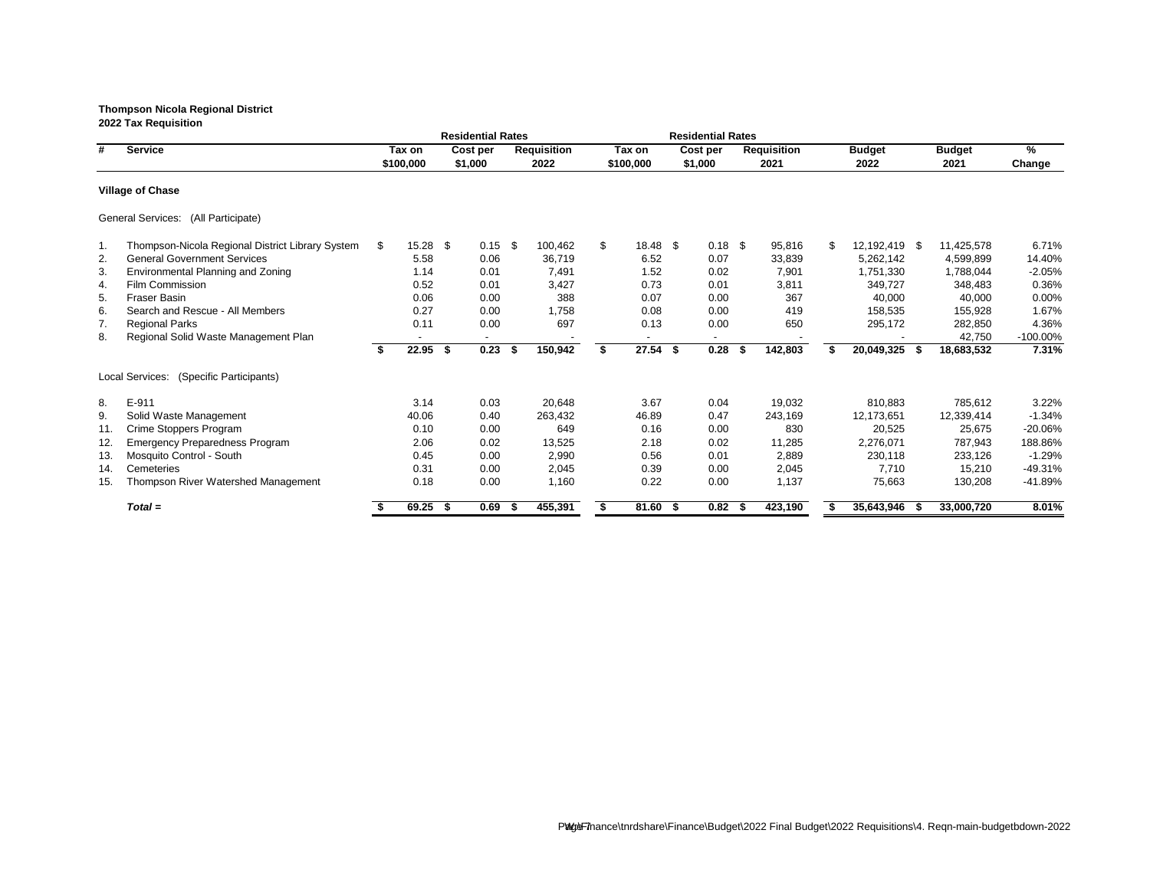|     |                                                  |    |            |      | <b>Residential Rates</b> |    |                    |    |            |      | <b>Residential Rates</b> |      |                    |                     |      |               |             |
|-----|--------------------------------------------------|----|------------|------|--------------------------|----|--------------------|----|------------|------|--------------------------|------|--------------------|---------------------|------|---------------|-------------|
| #   | <b>Service</b>                                   |    | Tax on     |      | Cost per                 |    | <b>Requisition</b> |    | Tax on     |      | Cost per                 |      | <b>Requisition</b> | <b>Budget</b>       |      | <b>Budget</b> | %           |
|     |                                                  |    | \$100,000  |      | \$1,000                  |    | 2022               |    | \$100,000  |      | \$1,000                  |      | 2021               | 2022                |      | 2021          | Change      |
|     | <b>Village of Chase</b>                          |    |            |      |                          |    |                    |    |            |      |                          |      |                    |                     |      |               |             |
|     | General Services: (All Participate)              |    |            |      |                          |    |                    |    |            |      |                          |      |                    |                     |      |               |             |
| 1.  | Thompson-Nicola Regional District Library System | S. | $15.28$ \$ |      | 0.15                     | \$ | 100,462            | \$ | 18.48 \$   |      | $0.18$ \$                |      | 95,816             | \$<br>12,192,419 \$ |      | 11,425,578    | 6.71%       |
| 2.  | <b>General Government Services</b>               |    | 5.58       |      | 0.06                     |    | 36,719             |    | 6.52       |      | 0.07                     |      | 33,839             | 5,262,142           |      | 4,599,899     | 14.40%      |
| 3.  | Environmental Planning and Zoning                |    | 1.14       |      | 0.01                     |    | 7,491              |    | 1.52       |      | 0.02                     |      | 7,901              | 1,751,330           |      | 1,788,044     | $-2.05%$    |
| 4.  | Film Commission                                  |    | 0.52       |      | 0.01                     |    | 3,427              |    | 0.73       |      | 0.01                     |      | 3,811              | 349,727             |      | 348,483       | 0.36%       |
| 5.  | <b>Fraser Basin</b>                              |    | 0.06       |      | 0.00                     |    | 388                |    | 0.07       |      | 0.00                     |      | 367                | 40,000              |      | 40,000        | 0.00%       |
| 6.  | Search and Rescue - All Members                  |    | 0.27       |      | 0.00                     |    | 1,758              |    | 0.08       |      | 0.00                     |      | 419                | 158,535             |      | 155,928       | 1.67%       |
| 7.  | <b>Regional Parks</b>                            |    | 0.11       |      | 0.00                     |    | 697                |    | 0.13       |      | 0.00                     |      | 650                | 295,172             |      | 282,850       | 4.36%       |
| 8.  | Regional Solid Waste Management Plan             |    | ۰.         |      | $\overline{\phantom{a}}$ |    |                    |    | $\sim$     |      |                          |      |                    |                     |      | 42,750        | $-100.00\%$ |
|     |                                                  |    | 22.95      | - \$ | 0.23                     | S  | 150,942            | Ŝ. | 27.54      | - \$ | 0.28                     |      | 142,803            | 20,049,325          | - 56 | 18,683,532    | 7.31%       |
|     | (Specific Participants)<br>Local Services:       |    |            |      |                          |    |                    |    |            |      |                          |      |                    |                     |      |               |             |
| 8.  | E-911                                            |    | 3.14       |      | 0.03                     |    | 20,648             |    | 3.67       |      | 0.04                     |      | 19,032             | 810,883             |      | 785,612       | 3.22%       |
| 9.  | Solid Waste Management                           |    | 40.06      |      | 0.40                     |    | 263,432            |    | 46.89      |      | 0.47                     |      | 243,169            | 12,173,651          |      | 12,339,414    | $-1.34%$    |
| 11. | <b>Crime Stoppers Program</b>                    |    | 0.10       |      | 0.00                     |    | 649                |    | 0.16       |      | 0.00                     |      | 830                | 20,525              |      | 25,675        | $-20.06%$   |
| 12. | <b>Emergency Preparedness Program</b>            |    | 2.06       |      | 0.02                     |    | 13,525             |    | 2.18       |      | 0.02                     |      | 11,285             | 2,276,071           |      | 787,943       | 188.86%     |
| 13. | Mosquito Control - South                         |    | 0.45       |      | 0.00                     |    | 2,990              |    | 0.56       |      | 0.01                     |      | 2,889              | 230,118             |      | 233,126       | $-1.29%$    |
| 14. | Cemeteries                                       |    | 0.31       |      | 0.00                     |    | 2,045              |    | 0.39       |      | 0.00                     |      | 2,045              | 7,710               |      | 15,210        | $-49.31%$   |
| 15. | Thompson River Watershed Management              |    | 0.18       |      | 0.00                     |    | 1,160              |    | 0.22       |      | 0.00                     |      | 1,137              | 75,663              |      | 130,208       | $-41.89%$   |
|     | $Total =$                                        |    | 69.25      | - S  | 0.69                     | -5 | 455,391            | S. | $81.60$ \$ |      | 0.82                     | - 55 | 423,190            | 35,643,946          | - 56 | 33,000,720    | 8.01%       |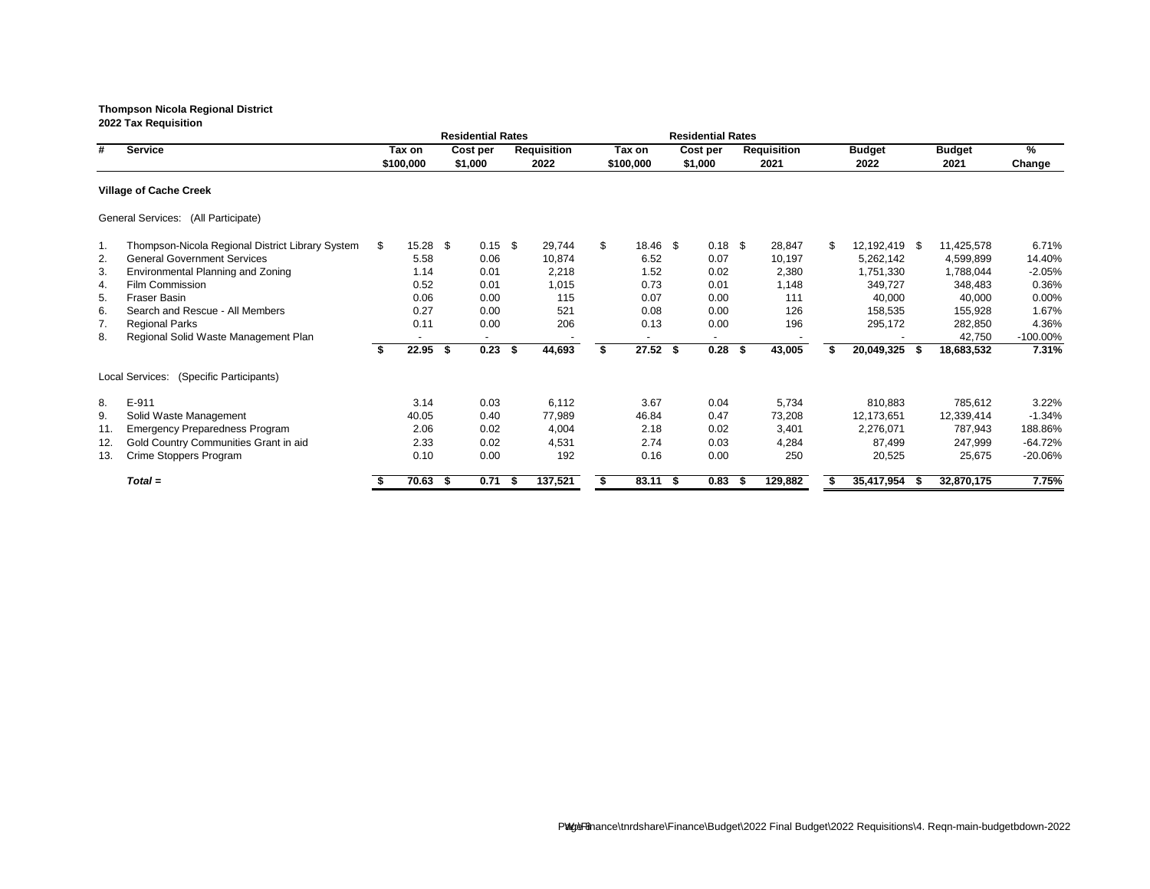|     |                                                  |    |            |      | <b>Residential Rates</b> |                    |                |      | <b>Residential Rates</b> |      |                    |                     |      |               |             |
|-----|--------------------------------------------------|----|------------|------|--------------------------|--------------------|----------------|------|--------------------------|------|--------------------|---------------------|------|---------------|-------------|
| #   | <b>Service</b>                                   |    | Tax on     |      | Cost per                 | <b>Requisition</b> | Tax on         |      | Cost per                 |      | <b>Requisition</b> | <b>Budget</b>       |      | <b>Budget</b> | %           |
|     |                                                  |    | \$100,000  |      | \$1,000                  | 2022               | \$100,000      |      | \$1,000                  |      | 2021               | 2022                |      | 2021          | Change      |
|     | <b>Village of Cache Creek</b>                    |    |            |      |                          |                    |                |      |                          |      |                    |                     |      |               |             |
|     | General Services: (All Participate)              |    |            |      |                          |                    |                |      |                          |      |                    |                     |      |               |             |
| 1.  | Thompson-Nicola Regional District Library System | S. | $15.28$ \$ |      | $0.15$ \$                | 29,744             | \$<br>18.46 \$ |      | $0.18$ \$                |      | 28,847             | \$<br>12,192,419 \$ |      | 11,425,578    | 6.71%       |
| 2.  | <b>General Government Services</b>               |    | 5.58       |      | 0.06                     | 10,874             | 6.52           |      | 0.07                     |      | 10,197             | 5,262,142           |      | 4,599,899     | 14.40%      |
| 3.  | Environmental Planning and Zoning                |    | 1.14       |      | 0.01                     | 2,218              | 1.52           |      | 0.02                     |      | 2,380              | 1,751,330           |      | 1,788,044     | $-2.05%$    |
| 4.  | Film Commission                                  |    | 0.52       |      | 0.01                     | 1,015              | 0.73           |      | 0.01                     |      | 1,148              | 349,727             |      | 348,483       | 0.36%       |
| 5.  | <b>Fraser Basin</b>                              |    | 0.06       |      | 0.00                     | 115                | 0.07           |      | 0.00                     |      | 111                | 40,000              |      | 40,000        | $0.00\%$    |
| 6.  | Search and Rescue - All Members                  |    | 0.27       |      | 0.00                     | 521                | 0.08           |      | 0.00                     |      | 126                | 158,535             |      | 155,928       | 1.67%       |
| 7.  | <b>Regional Parks</b>                            |    | 0.11       |      | 0.00                     | 206                | 0.13           |      | 0.00                     |      | 196                | 295,172             |      | 282,850       | 4.36%       |
| 8.  | Regional Solid Waste Management Plan             |    |            |      |                          |                    |                |      |                          |      |                    |                     |      | 42,750        | $-100.00\%$ |
|     |                                                  |    | 22.95      | \$   | 0.23                     | \$<br>44,693       | $27.52$ \$     |      | 0.28                     | - \$ | 43,005             | 20,049,325          | - \$ | 18,683,532    | 7.31%       |
|     | (Specific Participants)<br>Local Services:       |    |            |      |                          |                    |                |      |                          |      |                    |                     |      |               |             |
| 8.  | E-911                                            |    | 3.14       |      | 0.03                     | 6,112              | 3.67           |      | 0.04                     |      | 5,734              | 810,883             |      | 785,612       | 3.22%       |
| 9.  | Solid Waste Management                           |    | 40.05      |      | 0.40                     | 77,989             | 46.84          |      | 0.47                     |      | 73,208             | 12,173,651          |      | 12,339,414    | $-1.34%$    |
| 11. | <b>Emergency Preparedness Program</b>            |    | 2.06       |      | 0.02                     | 4,004              | 2.18           |      | 0.02                     |      | 3,401              | 2,276,071           |      | 787,943       | 188.86%     |
| 12. | Gold Country Communities Grant in aid            |    | 2.33       |      | 0.02                     | 4,531              | 2.74           |      | 0.03                     |      | 4,284              | 87,499              |      | 247,999       | $-64.72%$   |
| 13. | Crime Stoppers Program                           |    | 0.10       |      | 0.00                     | 192                | 0.16           |      | 0.00                     |      | 250                | 20,525              |      | 25,675        | $-20.06%$   |
|     | $Total =$                                        |    | 70.63      | - 56 | 0.71                     | 137,521            | 83.11          | - \$ | 0.83                     | - 55 | 129,882            | 35,417,954          |      | 32,870,175    | 7.75%       |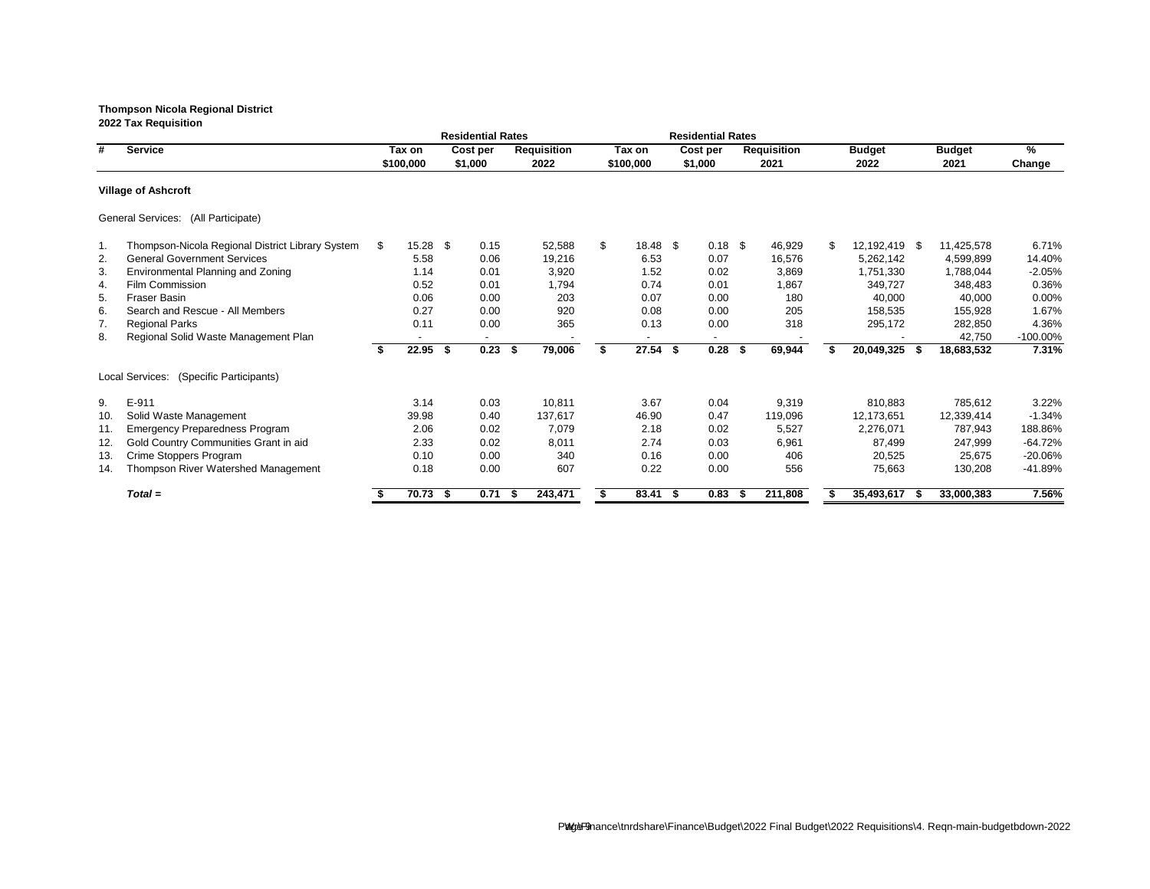|     |                                                  |    |           |      | <b>Residential Rates</b> |    |                    |    |            | <b>Residential Rates</b> |          |                    |               |               |               |
|-----|--------------------------------------------------|----|-----------|------|--------------------------|----|--------------------|----|------------|--------------------------|----------|--------------------|---------------|---------------|---------------|
| #   | <b>Service</b>                                   |    | Tax on    |      | Cost per                 |    | <b>Requisition</b> |    | Tax on     | Cost per                 |          | <b>Requisition</b> | <b>Budget</b> | <b>Budget</b> | $\frac{9}{6}$ |
|     |                                                  |    | \$100,000 |      | \$1,000                  |    | 2022               |    | \$100,000  | \$1,000                  |          | 2021               | 2022          | 2021          | Change        |
|     | <b>Village of Ashcroft</b>                       |    |           |      |                          |    |                    |    |            |                          |          |                    |               |               |               |
|     | General Services: (All Participate)              |    |           |      |                          |    |                    |    |            |                          |          |                    |               |               |               |
| 1.  | Thompson-Nicola Regional District Library System | \$ | 15.28     | -\$  | 0.15                     |    | 52,588             | \$ | 18.48 \$   | $0.18$ \$                |          | 46,929             | 12,192,419 \$ | 11,425,578    | 6.71%         |
| 2.  | <b>General Government Services</b>               |    | 5.58      |      | 0.06                     |    | 19,216             |    | 6.53       | 0.07                     |          | 16,576             | 5,262,142     | 4,599,899     | 14.40%        |
| 3.  | Environmental Planning and Zoning                |    | 1.14      |      | 0.01                     |    | 3,920              |    | 1.52       | 0.02                     |          | 3,869              | 1,751,330     | 1,788,044     | $-2.05%$      |
| 4.  | Film Commission                                  |    | 0.52      |      | 0.01                     |    | 1,794              |    | 0.74       | 0.01                     |          | 1,867              | 349,727       | 348,483       | 0.36%         |
| 5.  | Fraser Basin                                     |    | 0.06      |      | 0.00                     |    | 203                |    | 0.07       | 0.00                     |          | 180                | 40,000        | 40,000        | 0.00%         |
| 6.  | Search and Rescue - All Members                  |    | 0.27      |      | 0.00                     |    | 920                |    | 0.08       | 0.00                     |          | 205                | 158,535       | 155,928       | 1.67%         |
| 7.  | <b>Regional Parks</b>                            |    | 0.11      |      | 0.00                     |    | 365                |    | 0.13       | 0.00                     |          | 318                | 295,172       | 282,850       | 4.36%         |
| 8.  | Regional Solid Waste Management Plan             |    |           |      | $\blacksquare$           |    |                    |    |            |                          |          |                    |               | 42,750        | -100.00%      |
|     |                                                  | S. | 22.95     | \$   | 0.23                     | \$ | 79,006             | Ŝ. | $27.54$ \$ | 0.28                     | <b>S</b> | 69,944             | 20,049,325 \$ | 18,683,532    | 7.31%         |
|     | Local Services: (Specific Participants)          |    |           |      |                          |    |                    |    |            |                          |          |                    |               |               |               |
| 9.  | E-911                                            |    | 3.14      |      | 0.03                     |    | 10,811             |    | 3.67       | 0.04                     |          | 9,319              | 810,883       | 785,612       | 3.22%         |
| 10. | Solid Waste Management                           |    | 39.98     |      | 0.40                     |    | 137,617            |    | 46.90      | 0.47                     |          | 119,096            | 12,173,651    | 12,339,414    | $-1.34%$      |
| 11. | <b>Emergency Preparedness Program</b>            |    | 2.06      |      | 0.02                     |    | 7,079              |    | 2.18       | 0.02                     |          | 5,527              | 2,276,071     | 787,943       | 188.86%       |
| 12. | Gold Country Communities Grant in aid            |    | 2.33      |      | 0.02                     |    | 8,011              |    | 2.74       | 0.03                     |          | 6,961              | 87,499        | 247,999       | $-64.72%$     |
| 13. | Crime Stoppers Program                           |    | 0.10      |      | 0.00                     |    | 340                |    | 0.16       | 0.00                     |          | 406                | 20,525        | 25,675        | $-20.06%$     |
| 14. | Thompson River Watershed Management              |    | 0.18      |      | 0.00                     |    | 607                |    | 0.22       | 0.00                     |          | 556                | 75,663        | 130,208       | $-41.89%$     |
|     | $Total =$                                        |    | 70.73     | - \$ | 0.71                     | æ. | 243,471            | S. | 83.41 \$   | 0.83                     |          | 211,808            | 35,493,617 \$ | 33,000,383    | 7.56%         |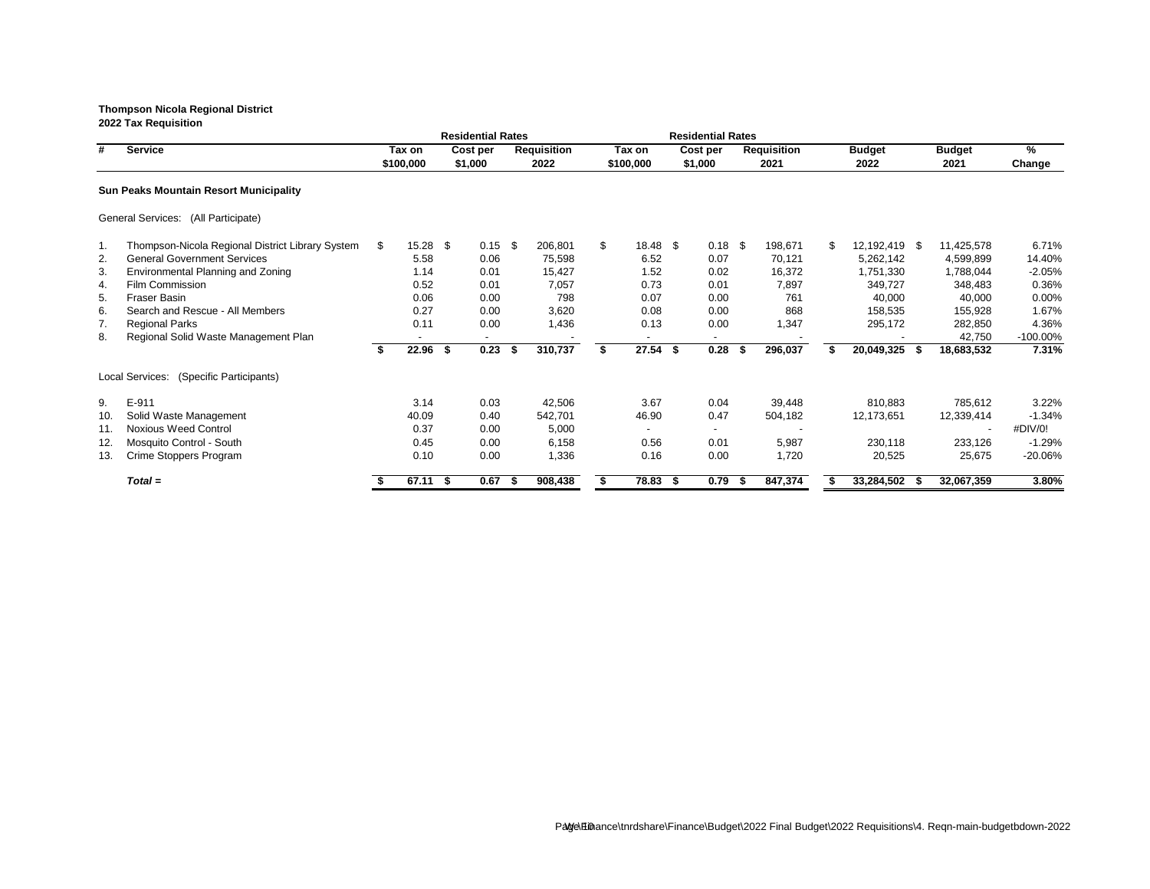|     |                                                  |                  |      | <b>Residential Rates</b> |      |                    |                       |      | <b>Residential Rates</b> |      |                    |    |               |      |                          |             |
|-----|--------------------------------------------------|------------------|------|--------------------------|------|--------------------|-----------------------|------|--------------------------|------|--------------------|----|---------------|------|--------------------------|-------------|
| #   | <b>Service</b>                                   | Tax on           |      | Cost per                 |      | <b>Requisition</b> | Tax on                |      | Cost per                 |      | <b>Requisition</b> |    | <b>Budget</b> |      | <b>Budget</b>            | %           |
|     |                                                  | \$100,000        |      | \$1,000                  |      | 2022               | \$100,000             |      | \$1,000                  |      | 2021               |    | 2022          |      | 2021                     | Change      |
|     | <b>Sun Peaks Mountain Resort Municipality</b>    |                  |      |                          |      |                    |                       |      |                          |      |                    |    |               |      |                          |             |
|     | General Services: (All Participate)              |                  |      |                          |      |                    |                       |      |                          |      |                    |    |               |      |                          |             |
| 1.  | Thompson-Nicola Regional District Library System | \$<br>$15.28$ \$ |      | 0.15                     | -\$  | 206,801            | \$<br>$18.48 \quad $$ |      | $0.18$ \$                |      | 198,671            | \$ | 12,192,419 \$ |      | 11,425,578               | 6.71%       |
| 2.  | <b>General Government Services</b>               | 5.58             |      | 0.06                     |      | 75,598             | 6.52                  |      | 0.07                     |      | 70,121             |    | 5,262,142     |      | 4,599,899                | 14.40%      |
| 3.  | Environmental Planning and Zoning                | 1.14             |      | 0.01                     |      | 15,427             | 1.52                  |      | 0.02                     |      | 16,372             |    | 1,751,330     |      | 1,788,044                | $-2.05%$    |
| 4.  | Film Commission                                  | 0.52             |      | 0.01                     |      | 7,057              | 0.73                  |      | 0.01                     |      | 7,897              |    | 349,727       |      | 348,483                  | 0.36%       |
| 5.  | <b>Fraser Basin</b>                              | 0.06             |      | 0.00                     |      | 798                | 0.07                  |      | 0.00                     |      | 761                |    | 40,000        |      | 40,000                   | 0.00%       |
| 6.  | Search and Rescue - All Members                  | 0.27             |      | 0.00                     |      | 3,620              | 0.08                  |      | 0.00                     |      | 868                |    | 158,535       |      | 155,928                  | 1.67%       |
| 7.  | <b>Regional Parks</b>                            | 0.11             |      | 0.00                     |      | 1,436              | 0.13                  |      | 0.00                     |      | 1,347              |    | 295,172       |      | 282,850                  | 4.36%       |
| 8.  | Regional Solid Waste Management Plan             |                  |      |                          |      |                    |                       |      |                          |      |                    |    |               |      | 42,750                   | $-100.00\%$ |
|     |                                                  | 22.96            | \$   | 0.23                     | - 56 | 310,737            | 27.54                 | -\$  | 0.28                     | - \$ | 296,037            | S  | 20,049,325    | - 56 | 18,683,532               | 7.31%       |
|     | Local Services: (Specific Participants)          |                  |      |                          |      |                    |                       |      |                          |      |                    |    |               |      |                          |             |
| 9.  | E-911                                            | 3.14             |      | 0.03                     |      | 42,506             | 3.67                  |      | 0.04                     |      | 39,448             |    | 810,883       |      | 785,612                  | 3.22%       |
| 10. | Solid Waste Management                           | 40.09            |      | 0.40                     |      | 542,701            | 46.90                 |      | 0.47                     |      | 504,182            |    | 12,173,651    |      | 12,339,414               | $-1.34%$    |
| 11. | <b>Noxious Weed Control</b>                      | 0.37             |      | 0.00                     |      | 5,000              |                       |      |                          |      |                    |    |               |      | $\overline{\phantom{a}}$ | #DIV/0!     |
| 12. | Mosquito Control - South                         | 0.45             |      | 0.00                     |      | 6,158              | 0.56                  |      | 0.01                     |      | 5,987              |    | 230,118       |      | 233,126                  | $-1.29%$    |
| 13. | Crime Stoppers Program                           | 0.10             |      | 0.00                     |      | 1,336              | 0.16                  |      | 0.00                     |      | 1,720              |    | 20,525        |      | 25,675                   | $-20.06%$   |
|     | $Total =$                                        | 67.11            | - \$ | 0.67                     |      | 908,438            | 78.83                 | - \$ | 0.79                     | - 5  | 847,374            |    | 33,284,502    |      | 32,067,359               | 3.80%       |